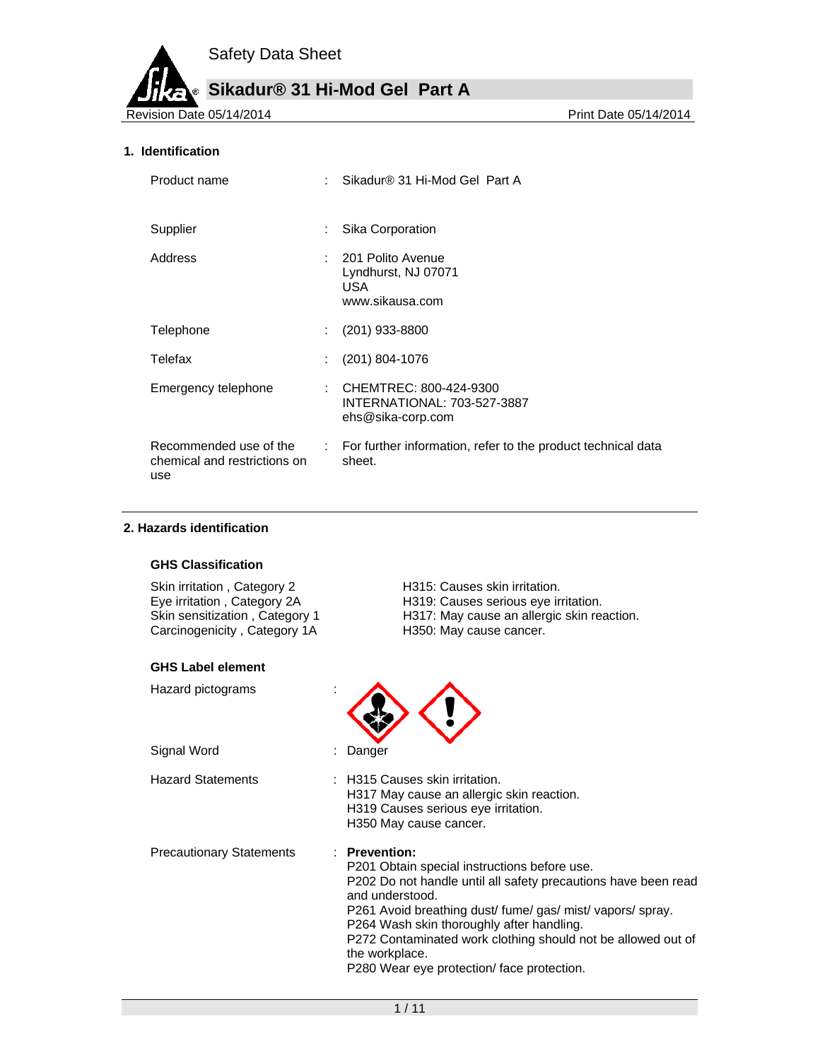**Sikadur® 31 Hi-Mod Gel Part A**

Revision Date 05/14/2014 **Print Date 05/14/2014** 

#### **1. Identification**

| Product name                                                  |                              | Sikadur® 31 Hi-Mod Gel Part A                                                       |
|---------------------------------------------------------------|------------------------------|-------------------------------------------------------------------------------------|
| Supplier                                                      | ÷                            | Sika Corporation                                                                    |
| Address                                                       |                              | : 201 Polito Avenue<br>Lyndhurst, NJ 07071<br>USA.<br>www.sikausa.com               |
| Telephone                                                     |                              | $(201)$ 933-8800                                                                    |
| Telefax                                                       | ÷                            | (201) 804-1076                                                                      |
| Emergency telephone                                           |                              | : CHEMTREC: 800-424-9300<br><b>INTERNATIONAL: 703-527-3887</b><br>ehs@sika-corp.com |
| Recommended use of the<br>chemical and restrictions on<br>use | $\mathcal{L}_{\mathrm{max}}$ | For further information, refer to the product technical data<br>sheet.              |

## **2. Hazards identification**

#### **GHS Classification**

Skin irritation, Category 2 **H315: Causes skin irritation.** Carcinogenicity, Category 1A H350: May cause cancer.

#### **GHS Label element**

Hazard pictograms :

Signal Word : Danger

Eye irritation , Category 2A **H319:** Causes serious eye irritation.<br>Skin sensitization , Category 1 H317: May cause an allergic skin rea H317: May cause an allergic skin reaction.



Hazard Statements : H315 Causes skin irritation. H317 May cause an allergic skin reaction. H319 Causes serious eye irritation. H350 May cause cancer.

Precautionary Statements : **Prevention:** 

P201 Obtain special instructions before use. P202 Do not handle until all safety precautions have been read and understood. P261 Avoid breathing dust/ fume/ gas/ mist/ vapors/ spray. P264 Wash skin thoroughly after handling. P272 Contaminated work clothing should not be allowed out of the workplace.

P280 Wear eye protection/ face protection.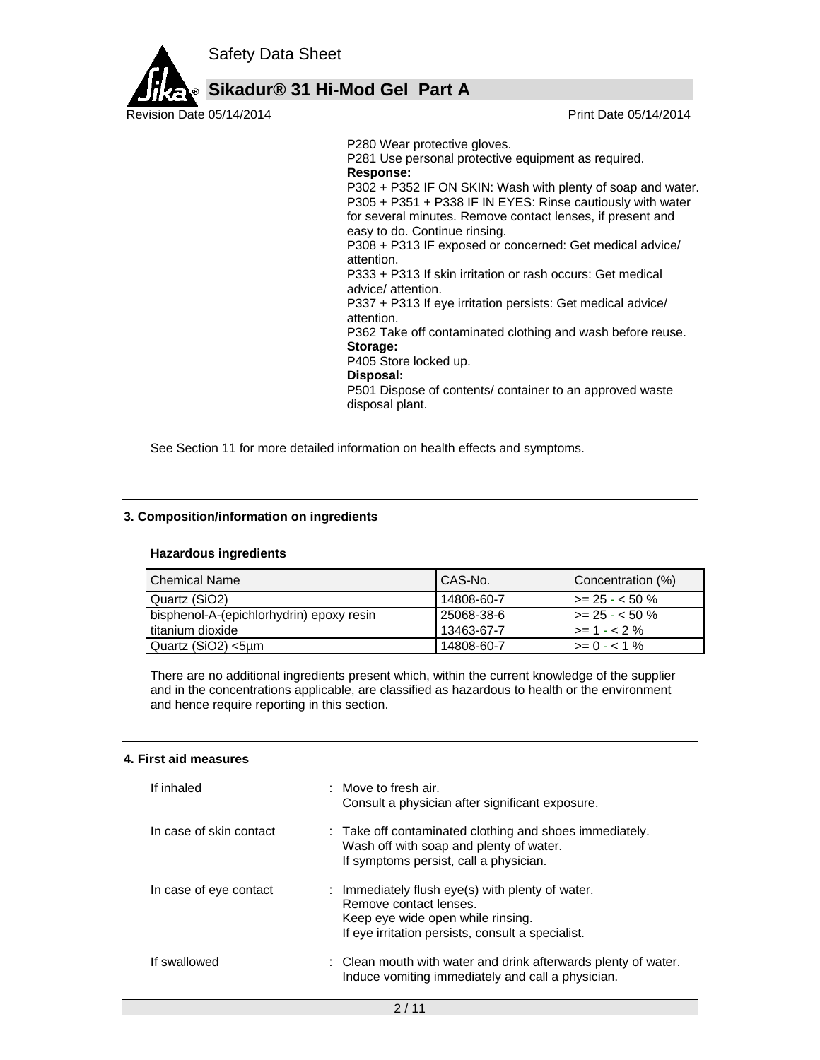

P280 Wear protective gloves.

P281 Use personal protective equipment as required. **Response:**  P302 + P352 IF ON SKIN: Wash with plenty of soap and water. P305 + P351 + P338 IF IN EYES: Rinse cautiously with water for several minutes. Remove contact lenses, if present and easy to do. Continue rinsing. P308 + P313 IF exposed or concerned: Get medical advice/ attention. P333 + P313 If skin irritation or rash occurs: Get medical advice/ attention. P337 + P313 If eye irritation persists: Get medical advice/ attention. P362 Take off contaminated clothing and wash before reuse. **Storage:**  P405 Store locked up. **Disposal:**  P501 Dispose of contents/ container to an approved waste

disposal plant.

See Section 11 for more detailed information on health effects and symptoms.

# **3. Composition/information on ingredients**

# **Hazardous ingredients**

| l Chemical Name                          | l CAS-No.  | Concentration (%)         |
|------------------------------------------|------------|---------------------------|
| Quartz (SiO2)                            | 14808-60-7 | $\vert$ >= 25 - < 50 %    |
| bisphenol-A-(epichlorhydrin) epoxy resin | 25068-38-6 | l >= 25 - < 50 %          |
| titanium dioxide                         | 13463-67-7 | $\rightarrow$ = 1 - < 2 % |
| Quartz (SiO2) <5µm                       | 14808-60-7 | $\vert \rangle = 0 - 1\%$ |

There are no additional ingredients present which, within the current knowledge of the supplier and in the concentrations applicable, are classified as hazardous to health or the environment and hence require reporting in this section.

#### **4. First aid measures**

| If inhaled              | $\therefore$ Move to fresh air.<br>Consult a physician after significant exposure.                                                                                   |
|-------------------------|----------------------------------------------------------------------------------------------------------------------------------------------------------------------|
| In case of skin contact | : Take off contaminated clothing and shoes immediately.<br>Wash off with soap and plenty of water.<br>If symptoms persist, call a physician.                         |
| In case of eye contact  | : Immediately flush eye(s) with plenty of water.<br>Remove contact lenses.<br>Keep eye wide open while rinsing.<br>If eye irritation persists, consult a specialist. |
| If swallowed            | : Clean mouth with water and drink afterwards plenty of water.<br>Induce vomiting immediately and call a physician.                                                  |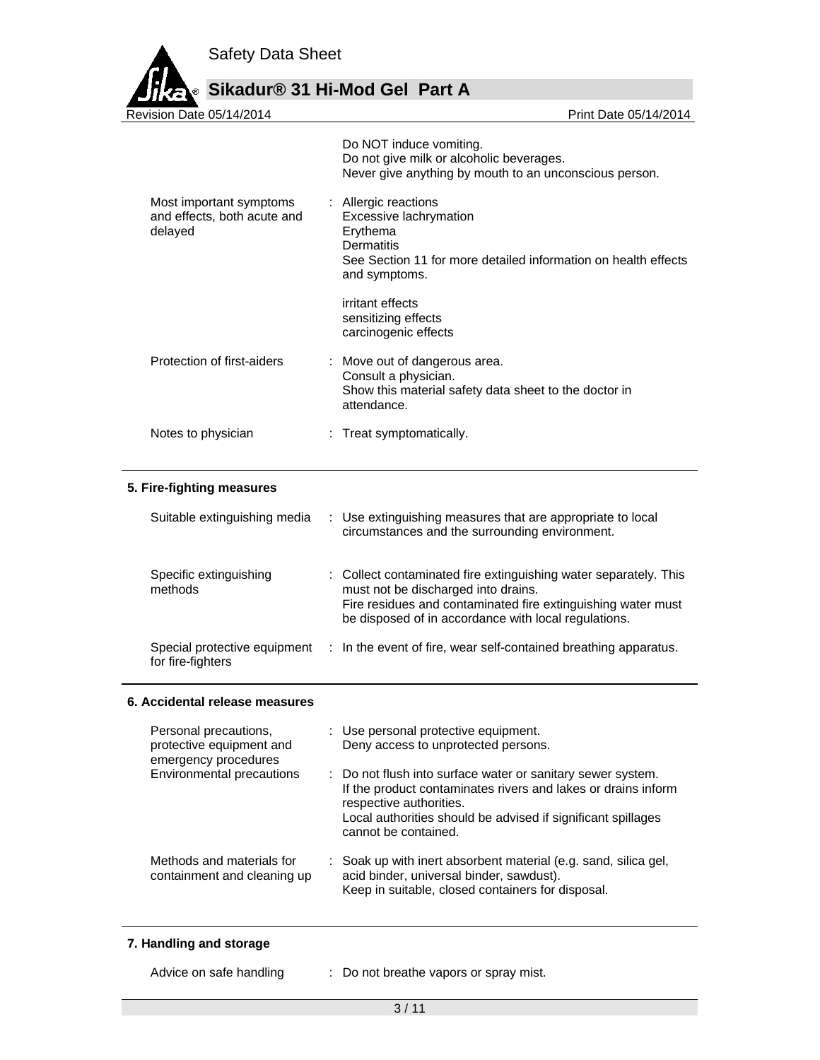

# **Sikadur® 31 Hi-Mod Gel Part A**

|                                                                                                        | Do NOT induce vomiting.<br>Do not give milk or alcoholic beverages.<br>Never give anything by mouth to an unconscious person.                                                                                                   |
|--------------------------------------------------------------------------------------------------------|---------------------------------------------------------------------------------------------------------------------------------------------------------------------------------------------------------------------------------|
| Most important symptoms<br>and effects, both acute and<br>delayed                                      | : Allergic reactions<br>Excessive lachrymation<br>Erythema<br><b>Dermatitis</b><br>See Section 11 for more detailed information on health effects<br>and symptoms.                                                              |
|                                                                                                        | irritant effects<br>sensitizing effects<br>carcinogenic effects                                                                                                                                                                 |
| Protection of first-aiders                                                                             | : Move out of dangerous area.<br>Consult a physician.<br>Show this material safety data sheet to the doctor in<br>attendance.                                                                                                   |
| Notes to physician                                                                                     | : Treat symptomatically.                                                                                                                                                                                                        |
| 5. Fire-fighting measures                                                                              |                                                                                                                                                                                                                                 |
| Suitable extinguishing media                                                                           | Use extinguishing measures that are appropriate to local<br>circumstances and the surrounding environment.                                                                                                                      |
| Specific extinguishing<br>methods                                                                      | : Collect contaminated fire extinguishing water separately. This<br>must not be discharged into drains.<br>Fire residues and contaminated fire extinguishing water must<br>be disposed of in accordance with local regulations. |
| Special protective equipment<br>for fire-fighters                                                      | : In the event of fire, wear self-contained breathing apparatus.                                                                                                                                                                |
| 6. Accidental release measures                                                                         |                                                                                                                                                                                                                                 |
| Personal precautions,<br>protective equipment and<br>emergency procedures<br>Environmental precautions | : Use personal protective equipment.<br>Deny access to unprotected persons.<br>Do not flush into surface water or sanitary sewer system.                                                                                        |
|                                                                                                        | If the product contaminates rivers and lakes or drains inform<br>respective authorities.<br>Local authorities should be advised if significant spillages<br>cannot be contained.                                                |
| Methods and materials for<br>containment and cleaning up                                               | Soak up with inert absorbent material (e.g. sand, silica gel,<br>acid binder, universal binder, sawdust).<br>Keep in suitable, closed containers for disposal.                                                                  |
| 7. Handling and storage                                                                                |                                                                                                                                                                                                                                 |

# **7. Handling and storage**

Advice on safe handling : Do not breathe vapors or spray mist.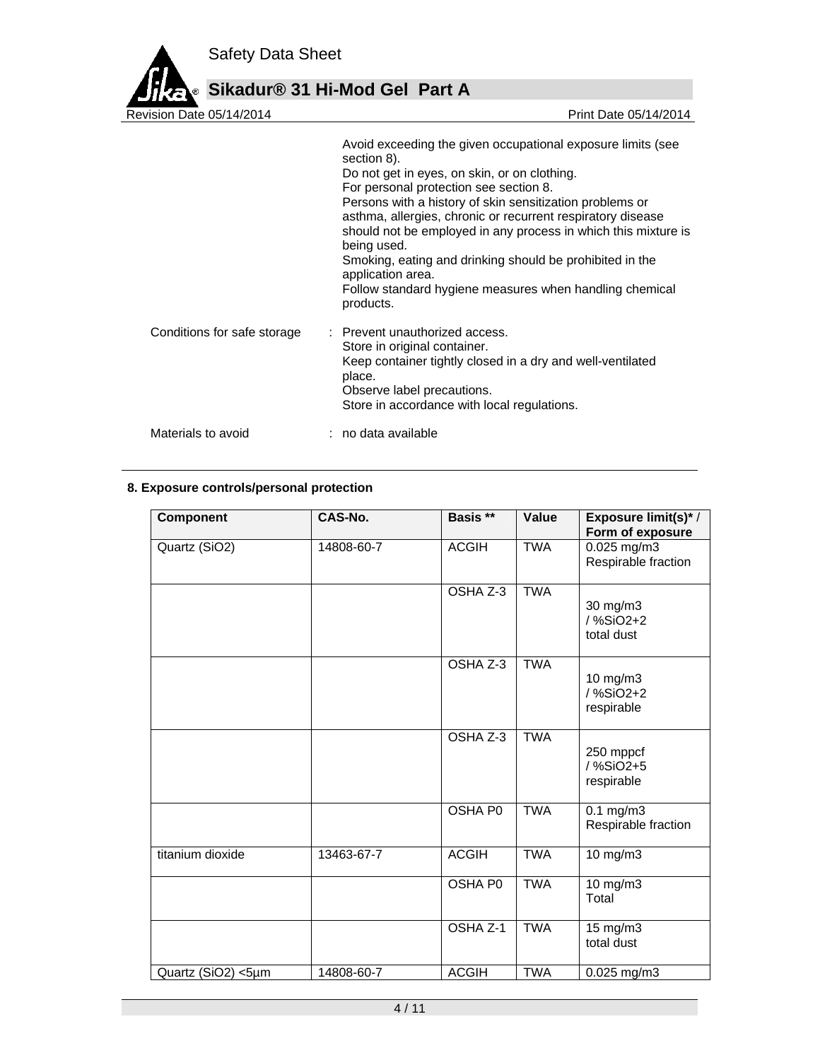

Revision Date 05/14/2014 Avoid exceeding the given occupational exposure limits (see section 8). Do not get in eyes, on skin, or on clothing. For personal protection see section 8. Persons with a history of skin sensitization problems or asthma, allergies, chronic or recurrent respiratory disease should not be employed in any process in which this mixture is being used. Smoking, eating and drinking should be prohibited in the application area. Follow standard hygiene measures when handling chemical products. Conditions for safe storage : Prevent unauthorized access. Store in original container. Keep container tightly closed in a dry and well-ventilated place. Observe label precautions. Store in accordance with local regulations. Materials to avoid : no data available

# **8. Exposure controls/personal protection**

| <b>Component</b>   | CAS-No.    | Basis **            | Value      | Exposure limit(s)*/<br>Form of exposure   |
|--------------------|------------|---------------------|------------|-------------------------------------------|
| Quartz (SiO2)      | 14808-60-7 | <b>ACGIH</b>        | <b>TWA</b> | $0.025$ mg/m3<br>Respirable fraction      |
|                    |            | OSHA Z-3            | <b>TWA</b> | 30 mg/m3<br>/ %SiO2+2<br>total dust       |
|                    |            | OSHA Z-3            | <b>TWA</b> | 10 mg/m3<br>/ %SiO2+2<br>respirable       |
|                    |            | OSHA Z-3            | <b>TWA</b> | 250 mppcf<br>/ %SiO2+5<br>respirable      |
|                    |            | <b>OSHA PO</b>      | <b>TWA</b> | $0.1 \text{ mg/m}$<br>Respirable fraction |
| titanium dioxide   | 13463-67-7 | <b>ACGIH</b>        | <b>TWA</b> | $10$ mg/m $3$                             |
|                    |            | OSHA P0             | <b>TWA</b> | 10 mg/m3<br>Total                         |
|                    |            | OSHA <sub>Z-1</sub> | <b>TWA</b> | 15 mg/m3<br>total dust                    |
| Quartz (SiO2) <5µm | 14808-60-7 | <b>ACGIH</b>        | <b>TWA</b> | 0.025 mg/m3                               |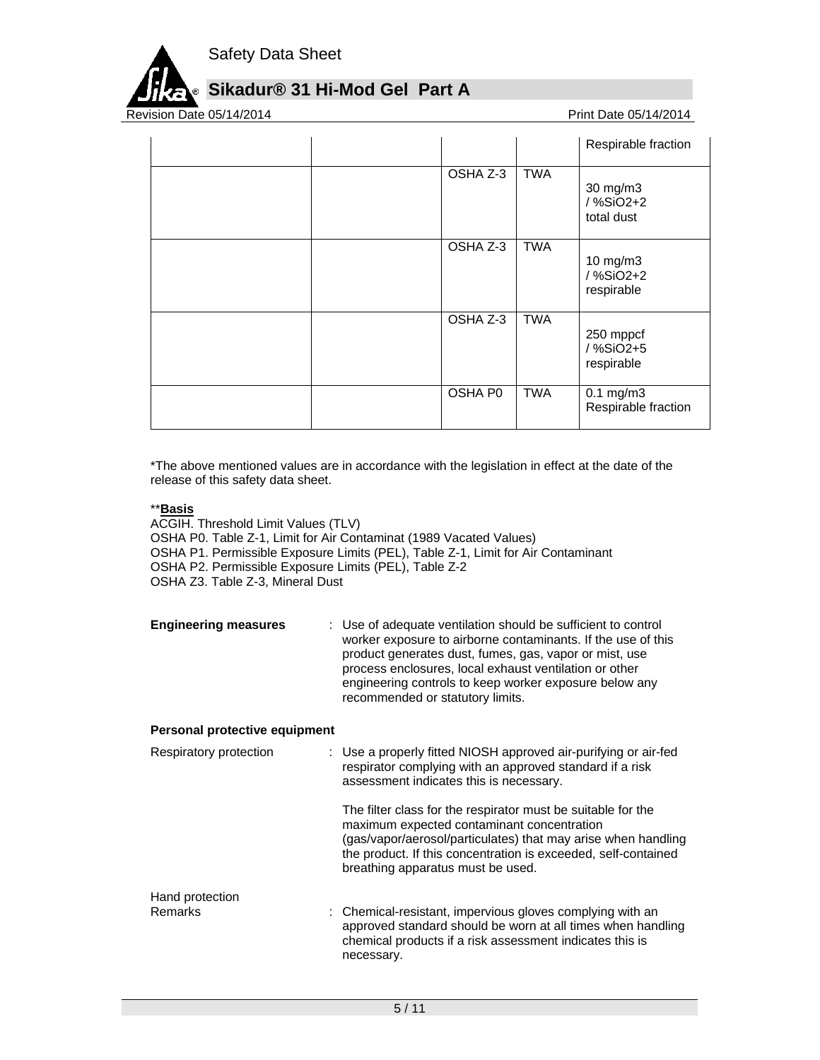

# **Sikadur® 31 Hi-Mod Gel Part A**

Revision Date 05/14/2014

|          |            | Respirable fraction                   |
|----------|------------|---------------------------------------|
| OSHA Z-3 | <b>TWA</b> | 30 mg/m3<br>/ %SiO2+2<br>total dust   |
| OSHA Z-3 | <b>TWA</b> | 10 mg/m3<br>/%SiO2+2<br>respirable    |
| OSHA Z-3 | <b>TWA</b> | 250 mppcf<br>/%SiO2+5<br>respirable   |
| OSHA P0  | <b>TWA</b> | $0.1$ mg/m $3$<br>Respirable fraction |

\*The above mentioned values are in accordance with the legislation in effect at the date of the release of this safety data sheet.

# \*\***Basis**

- ACGIH. Threshold Limit Values (TLV) OSHA P0. Table Z-1, Limit for Air Contaminat (1989 Vacated Values) OSHA P1. Permissible Exposure Limits (PEL), Table Z-1, Limit for Air Contaminant OSHA P2. Permissible Exposure Limits (PEL), Table Z-2 OSHA Z3. Table Z-3, Mineral Dust
- **Engineering measures** : Use of adequate ventilation should be sufficient to control worker exposure to airborne contaminants. If the use of this product generates dust, fumes, gas, vapor or mist, use process enclosures, local exhaust ventilation or other engineering controls to keep worker exposure below any recommended or statutory limits.

# **Personal protective equipment**

| Respiratory protection | : Use a properly fitted NIOSH approved air-purifying or air-fed<br>respirator complying with an approved standard if a risk<br>assessment indicates this is necessary.                                                                                                             |  |
|------------------------|------------------------------------------------------------------------------------------------------------------------------------------------------------------------------------------------------------------------------------------------------------------------------------|--|
|                        | The filter class for the respirator must be suitable for the<br>maximum expected contaminant concentration<br>(gas/vapor/aerosol/particulates) that may arise when handling<br>the product. If this concentration is exceeded, self-contained<br>breathing apparatus must be used. |  |
| Hand protection        |                                                                                                                                                                                                                                                                                    |  |
| Remarks                | : Chemical-resistant, impervious gloves complying with an<br>approved standard should be worn at all times when handling<br>chemical products if a risk assessment indicates this is<br>necessary.                                                                                 |  |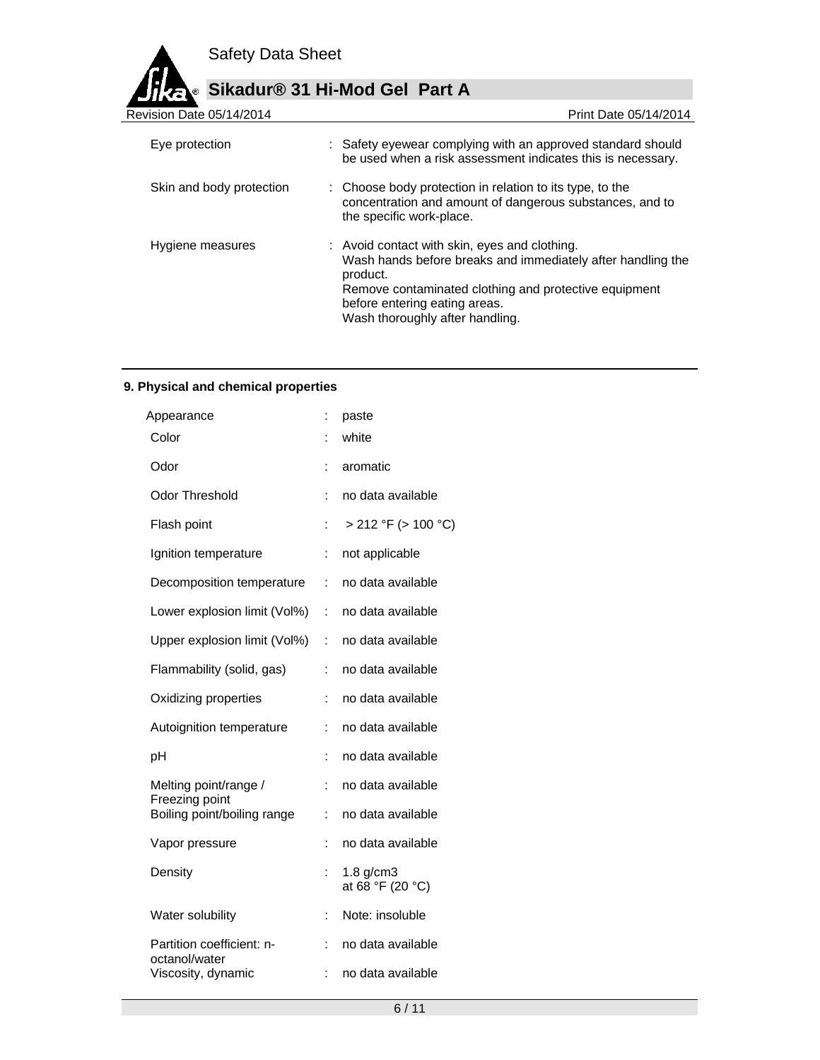

| Revision Date 05/14/2014 | Print Date 05/14/2014                                                                                                                                                                                                                                 |
|--------------------------|-------------------------------------------------------------------------------------------------------------------------------------------------------------------------------------------------------------------------------------------------------|
| Eye protection           | : Safety eyewear complying with an approved standard should<br>be used when a risk assessment indicates this is necessary.                                                                                                                            |
| Skin and body protection | : Choose body protection in relation to its type, to the<br>concentration and amount of dangerous substances, and to<br>the specific work-place.                                                                                                      |
| Hygiene measures         | : Avoid contact with skin, eyes and clothing.<br>Wash hands before breaks and immediately after handling the<br>product.<br>Remove contaminated clothing and protective equipment<br>before entering eating areas.<br>Wash thoroughly after handling. |

# **9. Physical and chemical properties**

| Appearance                                 |    | paste                              |
|--------------------------------------------|----|------------------------------------|
| Color                                      |    | white                              |
| Odor                                       | ÷  | aromatic                           |
| <b>Odor Threshold</b>                      | ÷. | no data available                  |
| Flash point                                | t  | $> 212$ °F ( $> 100$ °C)           |
| Ignition temperature                       | ÷  | not applicable                     |
| Decomposition temperature                  | ÷  | no data available                  |
| Lower explosion limit (Vol%)               | ÷  | no data available                  |
| Upper explosion limit (Vol%)               | ÷  | no data available                  |
| Flammability (solid, gas)                  |    | no data available                  |
| Oxidizing properties                       | ÷  | no data available                  |
| Autoignition temperature                   | ÷  | no data available                  |
| рH                                         | ÷  | no data available                  |
| Melting point/range /<br>Freezing point    | t. | no data available                  |
| Boiling point/boiling range                | ÷  | no data available                  |
| Vapor pressure                             | ÷  | no data available                  |
| Density                                    | ÷  | $1.8$ g/cm $3$<br>at 68 °F (20 °C) |
| Water solubility                           | t. | Note: insoluble                    |
| Partition coefficient: n-<br>octanol/water | ÷  | no data available                  |
| Viscosity, dynamic                         | İ. | no data available                  |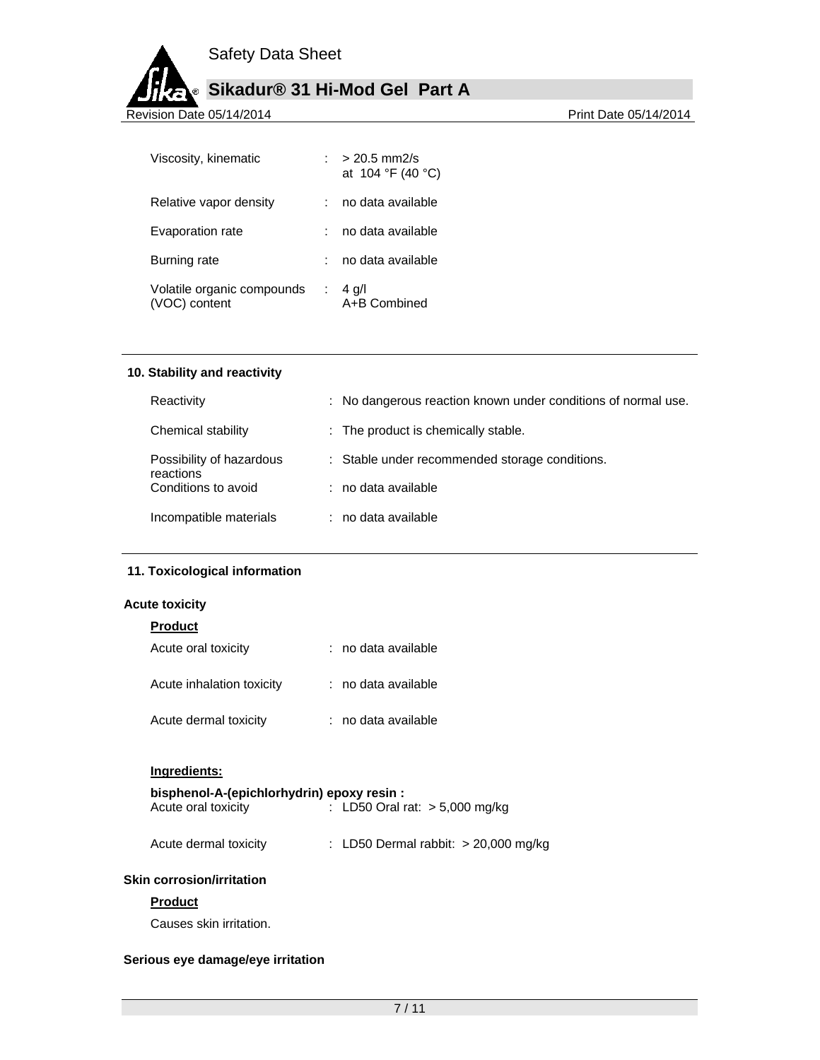# **Sikadur® 31 Hi-Mod Gel Part A**

Revision Date 05/14/2014

| Viscosity, kinematic                        |   | $> 20.5$ mm2/s<br>at $104 °F$ (40 °C) |
|---------------------------------------------|---|---------------------------------------|
| Relative vapor density                      |   | no data available                     |
| Evaporation rate                            |   | no data available                     |
| Burning rate                                |   | no data available                     |
| Volatile organic compounds<br>(VOC) content | ÷ | $4$ g/l<br>A+B Combined               |

#### **10. Stability and reactivity**

| Reactivity                            | : No dangerous reaction known under conditions of normal use. |
|---------------------------------------|---------------------------------------------------------------|
| Chemical stability                    | : The product is chemically stable.                           |
| Possibility of hazardous<br>reactions | : Stable under recommended storage conditions.                |
| Conditions to avoid                   | : no data available                                           |
| Incompatible materials                | : no data available                                           |

# **11. Toxicological information**

# **Acute toxicity**

# **Product**

| Acute oral toxicity       | : no data available |
|---------------------------|---------------------|
| Acute inhalation toxicity | : no data available |
| Acute dermal toxicity     | : no data available |

# **Ingredients:**

| bisphenol-A-(epichlorhydrin) epoxy resin : |                                  |
|--------------------------------------------|----------------------------------|
| Acute oral toxicity                        | : LD50 Oral rat: $> 5,000$ mg/kg |

| Acute dermal toxicity |  | : LD50 Dermal rabbit: $> 20,000$ mg/kg |  |  |
|-----------------------|--|----------------------------------------|--|--|
|-----------------------|--|----------------------------------------|--|--|

# **Skin corrosion/irritation**

# **Product**

Causes skin irritation.

# **Serious eye damage/eye irritation**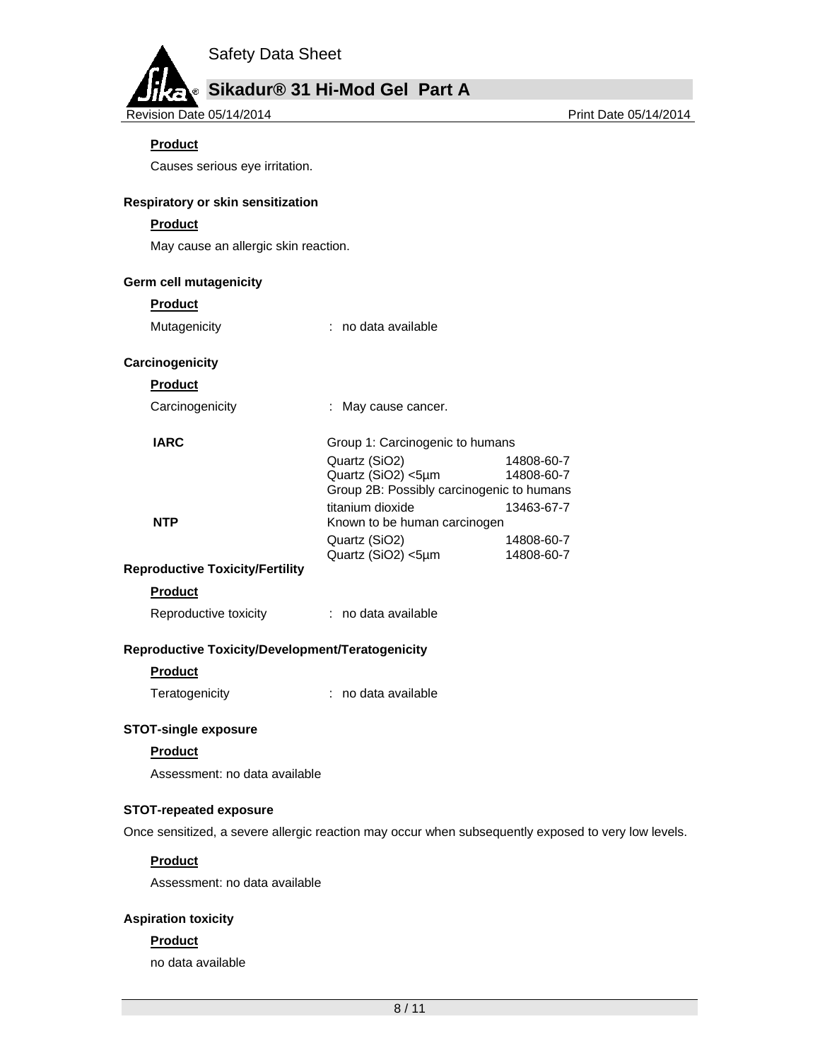# **Sikadur® 31 Hi-Mod Gel Part A**

Revision Date 05/14/2014

# **Product**

Causes serious eye irritation.

## **Respiratory or skin sensitization**

## **Product**

May cause an allergic skin reaction.

#### **Germ cell mutagenicity**

#### **Product**

Mutagenicity **interest and a** contained the Mutagenicity

 Quartz (SiO2) 14808-60-7 Quartz (SiO2) <5µm 14808-60-7 Group 2B: Possibly carcinogenic to humans

# **Carcinogenicity**

**Product** 

Carcinogenicity : May cause cancer.

#### **IARC** Group 1: Carcinogenic to humans

titanium dioxide 13463-67-7 **NTP** Known to be human carcinogen Quartz (SiO2) 14808-60-7 Quartz (SiO2) <5µm 14808-60-7

# **Reproductive Toxicity/Fertility**

# **Product**

Reproductive toxicity : no data available

# **Reproductive Toxicity/Development/Teratogenicity**

# **Product**

Teratogenicity : no data available

# **STOT-single exposure**

# **Product**

Assessment: no data available

# **STOT-repeated exposure**

Once sensitized, a severe allergic reaction may occur when subsequently exposed to very low levels.

# **Product**

Assessment: no data available

# **Aspiration toxicity**

# **Product**

no data available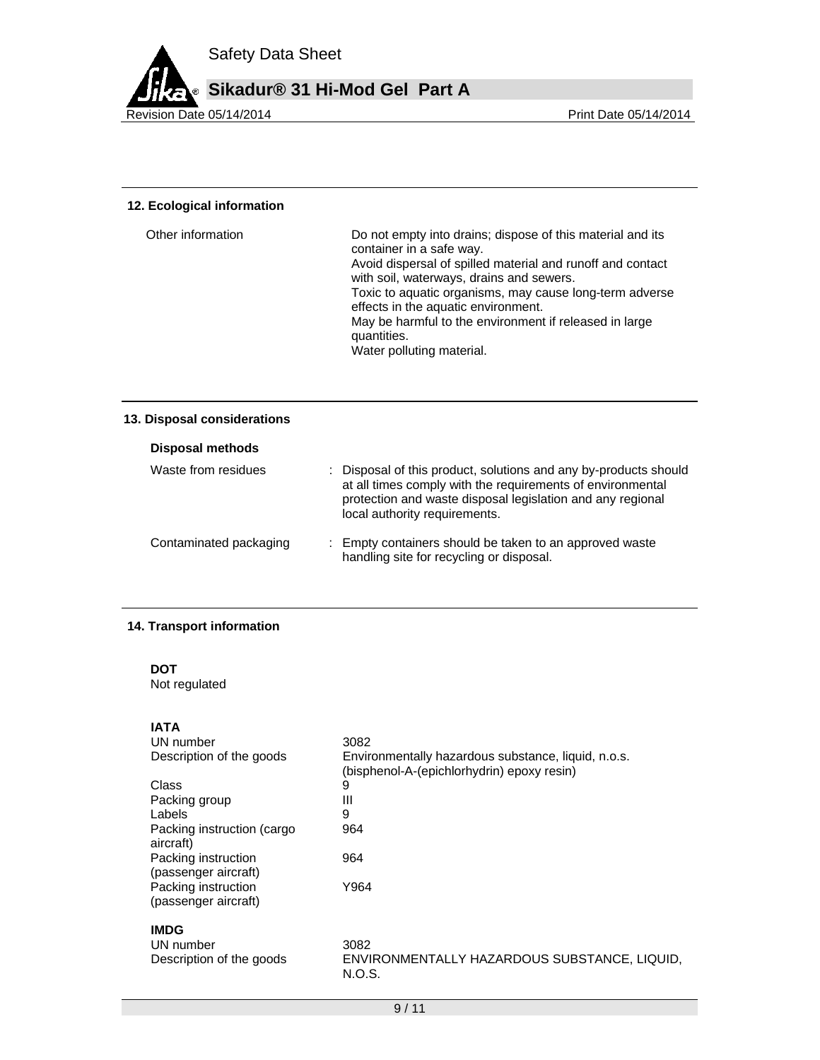

## **12. Ecological information**

| Other information | Do not empty into drains; dispose of this material and its<br>container in a safe way.<br>Avoid dispersal of spilled material and runoff and contact<br>with soil, waterways, drains and sewers.<br>Toxic to aquatic organisms, may cause long-term adverse<br>effects in the aquatic environment.<br>May be harmful to the environment if released in large<br>quantities.<br>Water polluting material. |
|-------------------|----------------------------------------------------------------------------------------------------------------------------------------------------------------------------------------------------------------------------------------------------------------------------------------------------------------------------------------------------------------------------------------------------------|
|                   |                                                                                                                                                                                                                                                                                                                                                                                                          |

# **13. Disposal considerations**

| Disposal methods       |                                                                                                                                                                                                                               |  |
|------------------------|-------------------------------------------------------------------------------------------------------------------------------------------------------------------------------------------------------------------------------|--|
| Waste from residues    | : Disposal of this product, solutions and any by-products should<br>at all times comply with the requirements of environmental<br>protection and waste disposal legislation and any regional<br>local authority requirements. |  |
| Contaminated packaging | : Empty containers should be taken to an approved waste<br>handling site for recycling or disposal.                                                                                                                           |  |

# **14. Transport information**

**DOT** 

Not regulated

# **IATA**

| UN number                                   | 3082                                                                                              |
|---------------------------------------------|---------------------------------------------------------------------------------------------------|
| Description of the goods                    | Environmentally hazardous substance, liquid, n.o.s.<br>(bisphenol-A-(epichlorhydrin) epoxy resin) |
| Class                                       | 9                                                                                                 |
| Packing group                               | Ш                                                                                                 |
| Labels                                      | 9                                                                                                 |
| Packing instruction (cargo<br>aircraft)     | 964                                                                                               |
| Packing instruction<br>(passenger aircraft) | 964                                                                                               |
| Packing instruction<br>(passenger aircraft) | Y964                                                                                              |
| <b>IMDG</b>                                 |                                                                                                   |
| UN number                                   | 3082                                                                                              |
| Description of the goods                    | ENVIRONMENTALLY HAZARDOUS SUBSTANCE, LIQUID,<br>N.O.S.                                            |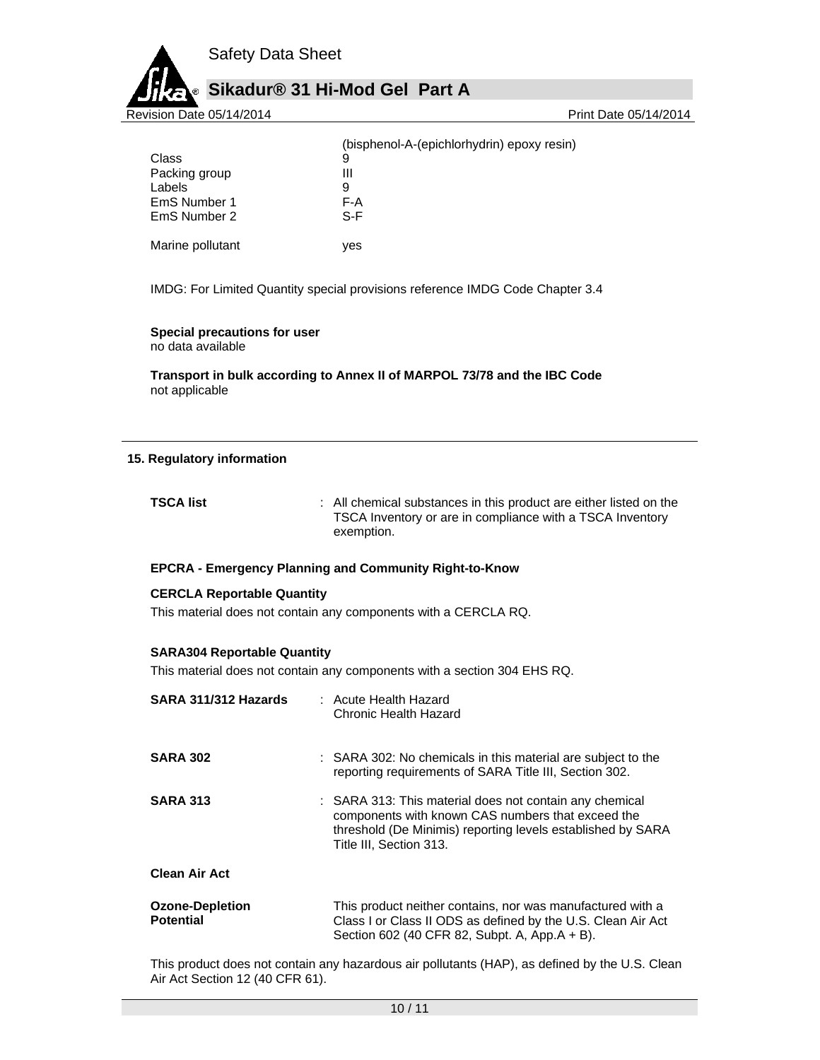

|                  | (bisphenol-A-(epichlorhydrin) epoxy resin) |
|------------------|--------------------------------------------|
| Class            | 9                                          |
| Packing group    | Ш                                          |
| Labels           | 9                                          |
| EmS Number 1     | F-A                                        |
| EmS Number 2     | S-F                                        |
| Marine pollutant | ves                                        |

IMDG: For Limited Quantity special provisions reference IMDG Code Chapter 3.4

#### **Special precautions for user**

no data available

**Transport in bulk according to Annex II of MARPOL 73/78 and the IBC Code**  not applicable

#### **15. Regulatory information**

| <b>TSCA list</b> | : All chemical substances in this product are either listed on the |
|------------------|--------------------------------------------------------------------|
|                  | TSCA Inventory or are in compliance with a TSCA Inventory          |
|                  | exemption.                                                         |

# **EPCRA - Emergency Planning and Community Right-to-Know**

#### **CERCLA Reportable Quantity**

This material does not contain any components with a CERCLA RQ.

# **SARA304 Reportable Quantity**

This material does not contain any components with a section 304 EHS RQ.

| SARA 311/312 Hazards                       | : Acute Health Hazard<br>Chronic Health Hazard                                                                                                                                                         |
|--------------------------------------------|--------------------------------------------------------------------------------------------------------------------------------------------------------------------------------------------------------|
| <b>SARA 302</b>                            | : SARA 302: No chemicals in this material are subject to the<br>reporting requirements of SARA Title III, Section 302.                                                                                 |
| <b>SARA 313</b>                            | : SARA 313: This material does not contain any chemical<br>components with known CAS numbers that exceed the<br>threshold (De Minimis) reporting levels established by SARA<br>Title III, Section 313. |
| <b>Clean Air Act</b>                       |                                                                                                                                                                                                        |
| <b>Ozone-Depletion</b><br><b>Potential</b> | This product neither contains, nor was manufactured with a<br>Class I or Class II ODS as defined by the U.S. Clean Air Act<br>Section 602 (40 CFR 82, Subpt. A, App.A + B).                            |

This product does not contain any hazardous air pollutants (HAP), as defined by the U.S. Clean Air Act Section 12 (40 CFR 61).